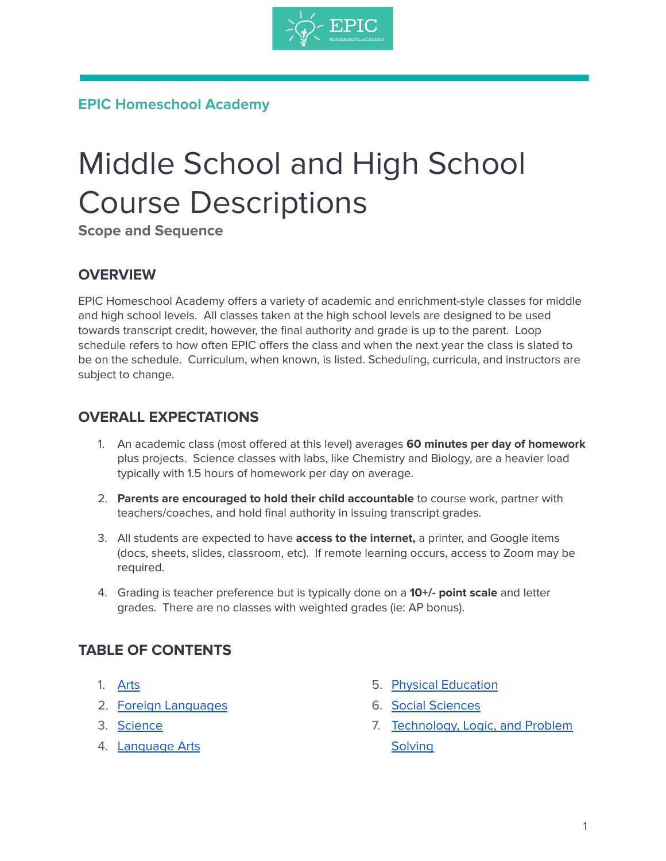

# **EPIC Homeschool Academy**

# Middle School and High School Course Descriptions

**Scope and Sequence**

### **OVERVIEW**

EPIC Homeschool Academy offers a variety of academic and enrichment-style classes for middle and high school levels. All classes taken at the high school levels are designed to be used towards transcript credit, however, the final authority and grade is up to the parent. Loop schedule refers to how often EPIC offers the class and when the next year the class is slated to be on the schedule. Curriculum, when known, is listed. Scheduling, curricula, and instructors are subject to change.

### **OVERALL EXPECTATIONS**

- 1. An academic class (most offered at this level) averages **60 minutes per day of homework** plus projects. Science classes with labs, like Chemistry and Biology, are a heavier load typically with 1.5 hours of homework per day on average.
- 2. **Parents are encouraged to hold their child accountable** to course work, partner with teachers/coaches, and hold final authority in issuing transcript grades.
- 3. All students are expected to have **access to the internet,** a printer, and Google items (docs, sheets, slides, classroom, etc). If remote learning occurs, access to Zoom may be required.
- 4. Grading is teacher preference but is typically done on a **10+/- point scale** and letter grades. There are no classes with weighted grades (ie: AP bonus).

## **TABLE OF CONTENTS**

- 1. [Arts](#page-1-0)
- 2. Foreign [Languages](#page-1-1)
- 3. [Science](#page-3-0)
- 4. [Language](#page-5-0) Arts
- 5. Physical [Education](#page-8-0)
- 6. Social [Sciences](#page-8-1)
- 7. [Technology,](#page-11-0) Logic, and Problem **[Solving](#page-11-0)**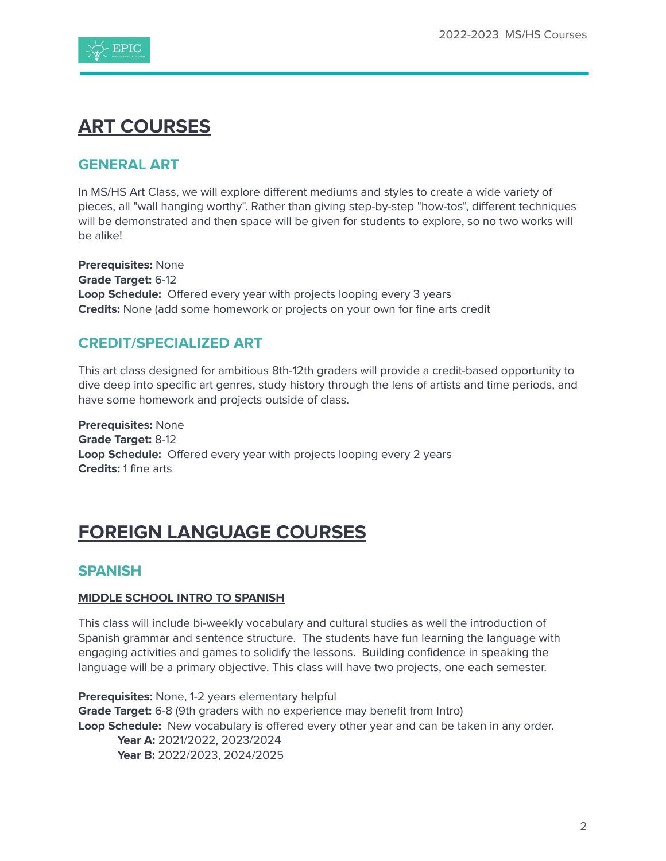

# <span id="page-1-0"></span>**ART COURSES**

#### **GENERAL ART**

In MS/HS Art Class, we will explore different mediums and styles to create a wide variety of pieces, all "wall hanging worthy". Rather than giving step-by-step "how-tos", different techniques will be demonstrated and then space will be given for students to explore, so no two works will be alike!

**Prerequisites:** None **Grade Target:** 6-12 **Loop Schedule:** Offered every year with projects looping every 3 years **Credits:** None (add some homework or projects on your own for fine arts credit

#### **CREDIT/SPECIALIZED ART**

This art class designed for ambitious 8th-12th graders will provide a credit-based opportunity to dive deep into specific art genres, study history through the lens of artists and time periods, and have some homework and projects outside of class.

**Prerequisites:** None **Grade Target:** 8-12 **Loop Schedule:** Offered every year with projects looping every 2 years **Credits:** 1 fine arts

# <span id="page-1-1"></span>**FOREIGN LANGUAGE COURSES**

#### **SPANISH**

#### **MIDDLE SCHOOL INTRO TO SPANISH**

This class will include bi-weekly vocabulary and cultural studies as well the introduction of Spanish grammar and sentence structure. The students have fun learning the language with engaging activities and games to solidify the lessons. Building confidence in speaking the language will be a primary objective. This class will have two projects, one each semester.

**Prerequisites:** None, 1-2 years elementary helpful **Grade Target:** 6-8 (9th graders with no experience may benefit from Intro) **Loop Schedule:** New vocabulary is offered every other year and can be taken in any order. **Year A:** 2021/2022, 2023/2024 **Year B:** 2022/2023, 2024/2025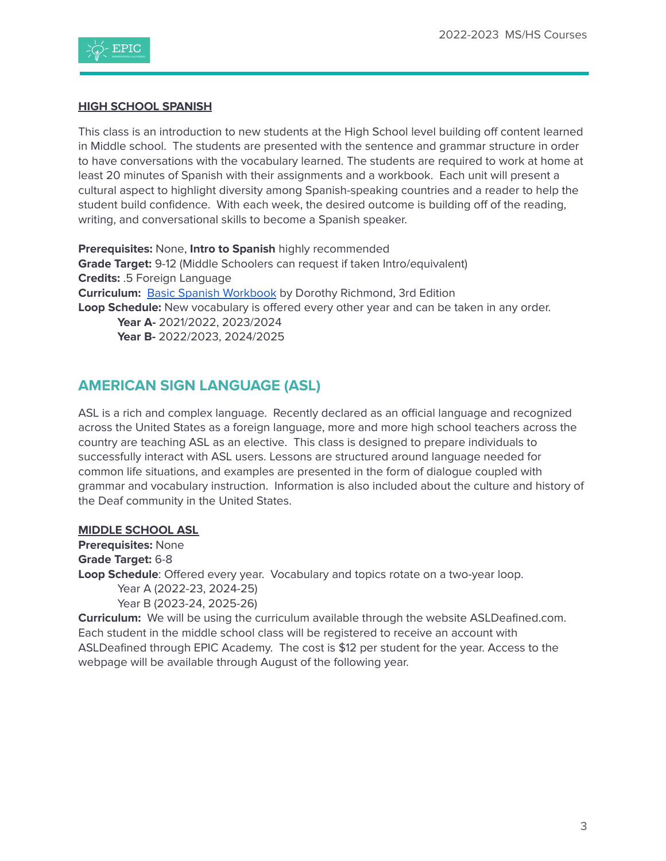

#### **HIGH SCHOOL SPANISH**

This class is an introduction to new students at the High School level building off content learned in Middle school. The students are presented with the sentence and grammar structure in order to have conversations with the vocabulary learned. The students are required to work at home at least 20 minutes of Spanish with their assignments and a workbook. Each unit will present a cultural aspect to highlight diversity among Spanish-speaking countries and a reader to help the student build confidence. With each week, the desired outcome is building off of the reading, writing, and conversational skills to become a Spanish speaker.

**Prerequisites:** None, **Intro to Spanish** highly recommended **Grade Target:** 9-12 (Middle Schoolers can request if taken Intro/equivalent) **Credits:** .5 Foreign Language **Curriculum:** Basic Spanish [Workbook](https://www.amazon.com/Practice-Makes-Perfect-Spanish-Premium-dp-1260453499/dp/1260453499/ref=dp_ob_title_bk) by Dorothy Richmond, 3rd Edition **Loop Schedule:** New vocabulary is offered every other year and can be taken in any order. **Year A-** 2021/2022, 2023/2024 **Year B-** 2022/2023, 2024/2025

#### **AMERICAN SIGN LANGUAGE (ASL)**

ASL is a rich and complex language. Recently declared as an official language and recognized across the United States as a foreign language, more and more high school teachers across the country are teaching ASL as an elective. This class is designed to prepare individuals to successfully interact with ASL users. Lessons are structured around language needed for common life situations, and examples are presented in the form of dialogue coupled with grammar and vocabulary instruction. Information is also included about the culture and history of the Deaf community in the United States.

#### **MIDDLE SCHOOL ASL**

**Prerequisites:** None **Grade Target:** 6-8 **Loop Schedule**: Offered every year. Vocabulary and topics rotate on a two-year loop. Year A (2022-23, 2024-25) Year B (2023-24, 2025-26)

**Curriculum:** We will be using the curriculum available through the website ASLDeafined.com. Each student in the middle school class will be registered to receive an account with ASLDeafined through EPIC Academy. The cost is \$12 per student for the year. Access to the webpage will be available through August of the following year.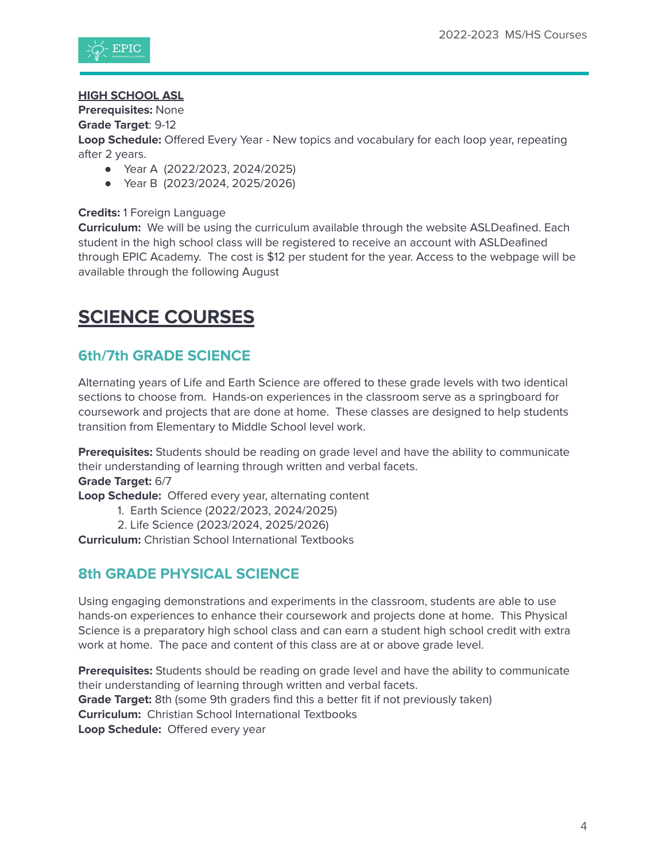

#### **HIGH SCHOOL ASL**

**Prerequisites:** None

**Grade Target**: 9-12

**Loop Schedule:** Offered Every Year - New topics and vocabulary for each loop year, repeating after 2 years.

- Year A (2022/2023, 2024/2025)
- Year B (2023/2024, 2025/2026)

#### **Credits:** 1 Foreign Language

**Curriculum:** We will be using the curriculum available through the website ASLDeafined. Each student in the high school class will be registered to receive an account with ASLDeafined through EPIC Academy. The cost is \$12 per student for the year. Access to the webpage will be available through the following August

# <span id="page-3-0"></span>**SCIENCE COURSES**

### **6th/7th GRADE SCIENCE**

Alternating years of Life and Earth Science are offered to these grade levels with two identical sections to choose from. Hands-on experiences in the classroom serve as a springboard for coursework and projects that are done at home. These classes are designed to help students transition from Elementary to Middle School level work.

**Prerequisites:** Students should be reading on grade level and have the ability to communicate their understanding of learning through written and verbal facets.

**Grade Target:** 6/7

**Loop Schedule:** Offered every year, alternating content

- 1. Earth Science (2022/2023, 2024/2025)
- 2. Life Science (2023/2024, 2025/2026)

**Curriculum:** Christian School International Textbooks

#### **8th GRADE PHYSICAL SCIENCE**

Using engaging demonstrations and experiments in the classroom, students are able to use hands-on experiences to enhance their coursework and projects done at home. This Physical Science is a preparatory high school class and can earn a student high school credit with extra work at home. The pace and content of this class are at or above grade level.

**Prerequisites:** Students should be reading on grade level and have the ability to communicate their understanding of learning through written and verbal facets. **Grade Target:** 8th (some 9th graders find this a better fit if not previously taken) **Curriculum:** Christian School International Textbooks **Loop Schedule:** Offered every year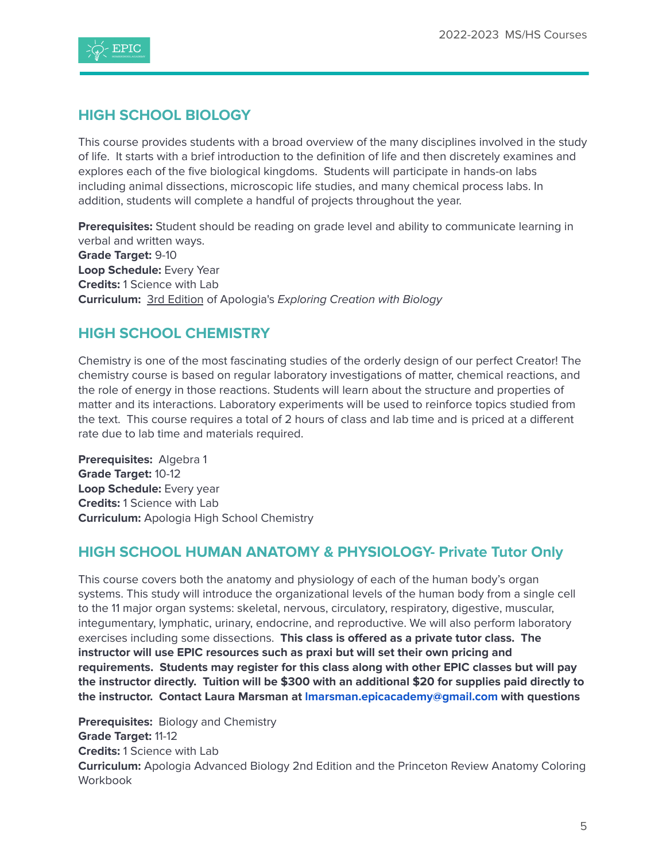

#### **HIGH SCHOOL BIOLOGY**

This course provides students with a broad overview of the many disciplines involved in the study of life. It starts with a brief introduction to the definition of life and then discretely examines and explores each of the five biological kingdoms. Students will participate in hands-on labs including animal dissections, microscopic life studies, and many chemical process labs. In addition, students will complete a handful of projects throughout the year.

**Prerequisites:** Student should be reading on grade level and ability to communicate learning in verbal and written ways. **Grade Target:** 9-10 **Loop Schedule:** Every Year **Credits:** 1 Science with Lab **Curriculum:** 3rd Edition of Apologia's Exploring Creation with Biology

### **HIGH SCHOOL CHEMISTRY**

Chemistry is one of the most fascinating studies of the orderly design of our perfect Creator! The chemistry course is based on regular laboratory investigations of matter, chemical reactions, and the role of energy in those reactions. Students will learn about the structure and properties of matter and its interactions. Laboratory experiments will be used to reinforce topics studied from the text. This course requires a total of 2 hours of class and lab time and is priced at a different rate due to lab time and materials required.

**Prerequisites:** Algebra 1 **Grade Target:** 10-12 **Loop Schedule:** Every year **Credits:** 1 Science with Lab **Curriculum:** Apologia High School Chemistry

#### **HIGH SCHOOL HUMAN ANATOMY & PHYSIOLOGY- Private Tutor Only**

This course covers both the anatomy and physiology of each of the human body's organ systems. This study will introduce the organizational levels of the human body from a single cell to the 11 major organ systems: skeletal, nervous, circulatory, respiratory, digestive, muscular, integumentary, lymphatic, urinary, endocrine, and reproductive. We will also perform laboratory exercises including some dissections. **This class is offered as a private tutor class. The instructor will use EPIC resources such as praxi but will set their own pricing and requirements. Students may register for this class along with other EPIC classes but will pay the instructor directly. Tuition will be \$300 with an additional \$20 for supplies paid directly to the instructor. Contact Laura Marsman at [lmarsman.epicacademy@gmail.com](mailto:lmarsman.epicacademy@gmail.com) with questions**

**Prerequisites:** Biology and Chemistry **Grade Target:** 11-12 **Credits:** 1 Science with Lab **Curriculum:** Apologia Advanced Biology 2nd Edition and the Princeton Review Anatomy Coloring Workbook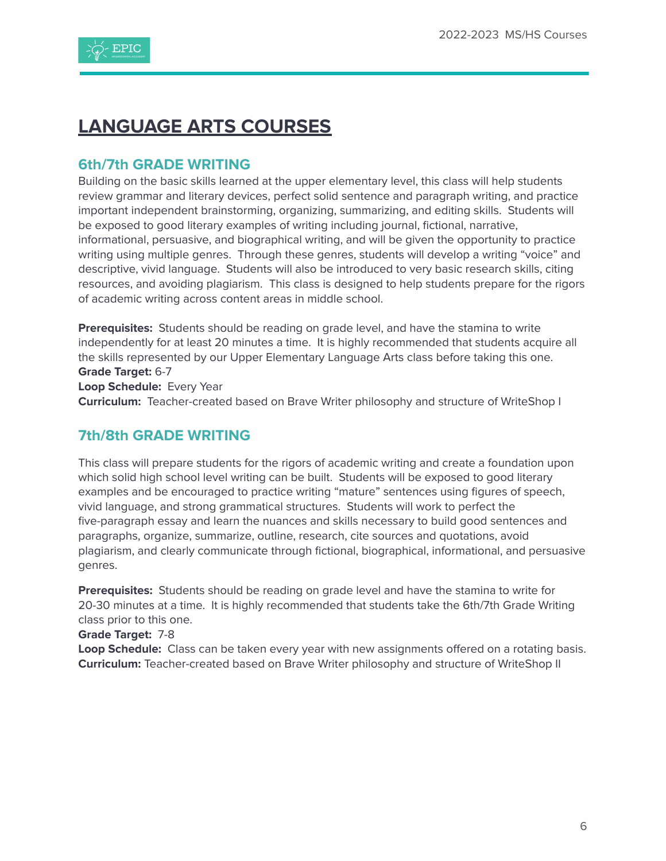

# <span id="page-5-0"></span>**LANGUAGE ARTS COURSES**

#### **6th/7th GRADE WRITING**

Building on the basic skills learned at the upper elementary level, this class will help students review grammar and literary devices, perfect solid sentence and paragraph writing, and practice important independent brainstorming, organizing, summarizing, and editing skills. Students will be exposed to good literary examples of writing including journal, fictional, narrative, informational, persuasive, and biographical writing, and will be given the opportunity to practice writing using multiple genres. Through these genres, students will develop a writing "voice" and descriptive, vivid language. Students will also be introduced to very basic research skills, citing resources, and avoiding plagiarism. This class is designed to help students prepare for the rigors of academic writing across content areas in middle school.

**Prerequisites:** Students should be reading on grade level, and have the stamina to write independently for at least 20 minutes a time. It is highly recommended that students acquire all the skills represented by our Upper Elementary Language Arts class before taking this one. **Grade Target:** 6-7 **Loop Schedule:** Every Year

**Curriculum:** Teacher-created based on Brave Writer philosophy and structure of WriteShop I

#### **7th/8th GRADE WRITING**

This class will prepare students for the rigors of academic writing and create a foundation upon which solid high school level writing can be built. Students will be exposed to good literary examples and be encouraged to practice writing "mature" sentences using figures of speech, vivid language, and strong grammatical structures. Students will work to perfect the five-paragraph essay and learn the nuances and skills necessary to build good sentences and paragraphs, organize, summarize, outline, research, cite sources and quotations, avoid plagiarism, and clearly communicate through fictional, biographical, informational, and persuasive genres.

**Prerequisites:** Students should be reading on grade level and have the stamina to write for 20-30 minutes at a time. It is highly recommended that students take the 6th/7th Grade Writing class prior to this one.

#### **Grade Target:** 7-8

**Loop Schedule:** Class can be taken every year with new assignments offered on a rotating basis. **Curriculum:** Teacher-created based on Brave Writer philosophy and structure of WriteShop II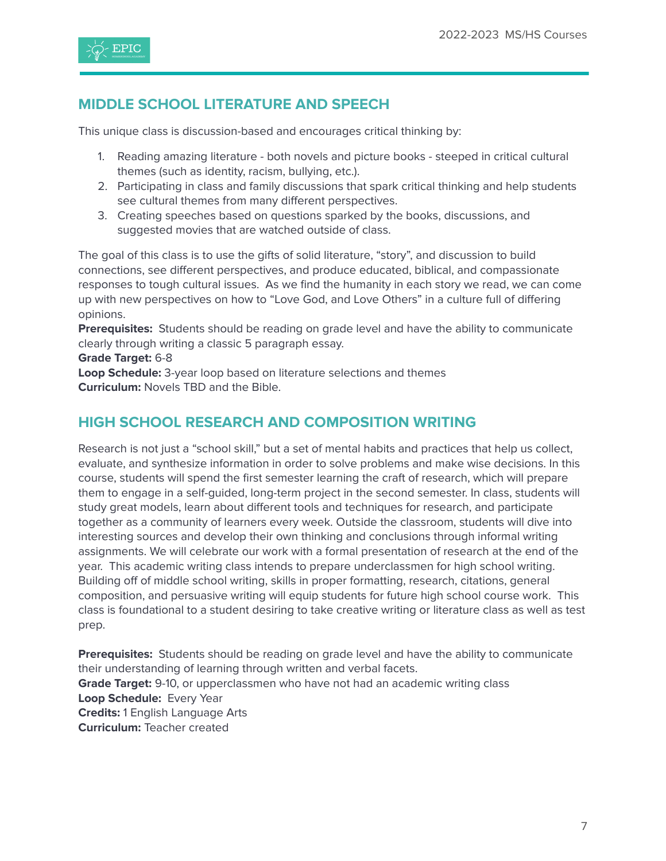

### **MIDDLE SCHOOL LITERATURE AND SPEECH**

This unique class is discussion-based and encourages critical thinking by:

- 1. Reading amazing literature both novels and picture books steeped in critical cultural themes (such as identity, racism, bullying, etc.).
- 2. Participating in class and family discussions that spark critical thinking and help students see cultural themes from many different perspectives.
- 3. Creating speeches based on questions sparked by the books, discussions, and suggested movies that are watched outside of class.

The goal of this class is to use the gifts of solid literature, "story", and discussion to build connections, see different perspectives, and produce educated, biblical, and compassionate responses to tough cultural issues. As we find the humanity in each story we read, we can come up with new perspectives on how to "Love God, and Love Others" in a culture full of differing opinions.

**Prerequisites:** Students should be reading on grade level and have the ability to communicate clearly through writing a classic 5 paragraph essay.

**Grade Target:** 6-8

**Loop Schedule:** 3-year loop based on literature selections and themes **Curriculum:** Novels TBD and the Bible.

#### **HIGH SCHOOL RESEARCH AND COMPOSITION WRITING**

Research is not just a "school skill," but a set of mental habits and practices that help us collect, evaluate, and synthesize information in order to solve problems and make wise decisions. In this course, students will spend the first semester learning the craft of research, which will prepare them to engage in a self-guided, long-term project in the second semester. In class, students will study great models, learn about different tools and techniques for research, and participate together as a community of learners every week. Outside the classroom, students will dive into interesting sources and develop their own thinking and conclusions through informal writing assignments. We will celebrate our work with a formal presentation of research at the end of the year. This academic writing class intends to prepare underclassmen for high school writing. Building off of middle school writing, skills in proper formatting, research, citations, general composition, and persuasive writing will equip students for future high school course work. This class is foundational to a student desiring to take creative writing or literature class as well as test prep.

**Prerequisites:** Students should be reading on grade level and have the ability to communicate their understanding of learning through written and verbal facets. **Grade Target:** 9-10, or upperclassmen who have not had an academic writing class **Loop Schedule:** Every Year **Credits:** 1 English Language Arts **Curriculum:** Teacher created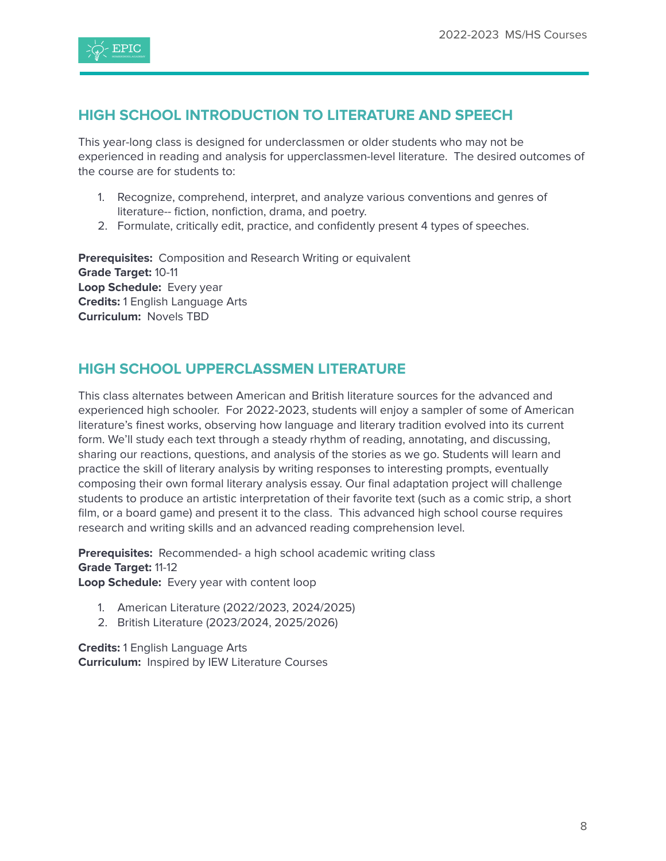

## **HIGH SCHOOL INTRODUCTION TO LITERATURE AND SPEECH**

This year-long class is designed for underclassmen or older students who may not be experienced in reading and analysis for upperclassmen-level literature. The desired outcomes of the course are for students to:

- 1. Recognize, comprehend, interpret, and analyze various conventions and genres of literature-- fiction, nonfiction, drama, and poetry.
- 2. Formulate, critically edit, practice, and confidently present 4 types of speeches.

**Prerequisites:** Composition and Research Writing or equivalent **Grade Target:** 10-11 **Loop Schedule:** Every year **Credits:** 1 English Language Arts **Curriculum:** Novels TBD

### **HIGH SCHOOL UPPERCLASSMEN LITERATURE**

This class alternates between American and British literature sources for the advanced and experienced high schooler. For 2022-2023, students will enjoy a sampler of some of American literature's finest works, observing how language and literary tradition evolved into its current form. We'll study each text through a steady rhythm of reading, annotating, and discussing, sharing our reactions, questions, and analysis of the stories as we go. Students will learn and practice the skill of literary analysis by writing responses to interesting prompts, eventually composing their own formal literary analysis essay. Our final adaptation project will challenge students to produce an artistic interpretation of their favorite text (such as a comic strip, a short film, or a board game) and present it to the class. This advanced high school course requires research and writing skills and an advanced reading comprehension level.

**Prerequisites:** Recommended- a high school academic writing class **Grade Target:** 11-12 **Loop Schedule:** Every year with content loop

- 1. American Literature (2022/2023, 2024/2025)
- 2. British Literature (2023/2024, 2025/2026)

**Credits:** 1 English Language Arts **Curriculum:** Inspired by IEW Literature Courses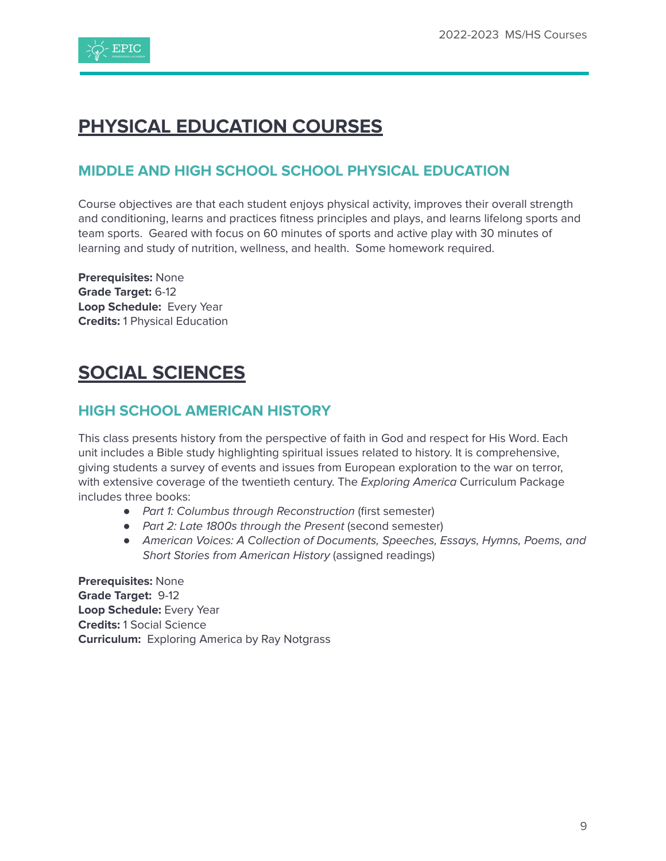

# **PHYSICAL EDUCATION COURSES**

# <span id="page-8-0"></span>**MIDDLE AND HIGH SCHOOL SCHOOL PHYSICAL EDUCATION**

Course objectives are that each student enjoys physical activity, improves their overall strength and conditioning, learns and practices fitness principles and plays, and learns lifelong sports and team sports. Geared with focus on 60 minutes of sports and active play with 30 minutes of learning and study of nutrition, wellness, and health. Some homework required.

**Prerequisites:** None **Grade Target:** 6-12 **Loop Schedule:** Every Year **Credits:** 1 Physical Education

# <span id="page-8-1"></span>**SOCIAL SCIENCES**

### **HIGH SCHOOL AMERICAN HISTORY**

This class presents history from the perspective of faith in God and respect for His Word. Each unit includes a Bible study highlighting spiritual issues related to history. It is comprehensive, giving students a survey of events and issues from European exploration to the war on terror, with extensive coverage of the twentieth century. The Exploring America Curriculum Package includes three books:

- Part 1: Columbus through Reconstruction (first semester)
- Part 2: Late 1800s through the Present (second semester)
- American Voices: A Collection of Documents, Speeches, Essays, Hymns, Poems, and Short Stories from American History (assigned readings)

**Prerequisites:** None **Grade Target:** 9-12 **Loop Schedule:** Every Year **Credits:** 1 Social Science **Curriculum:** Exploring America by Ray Notgrass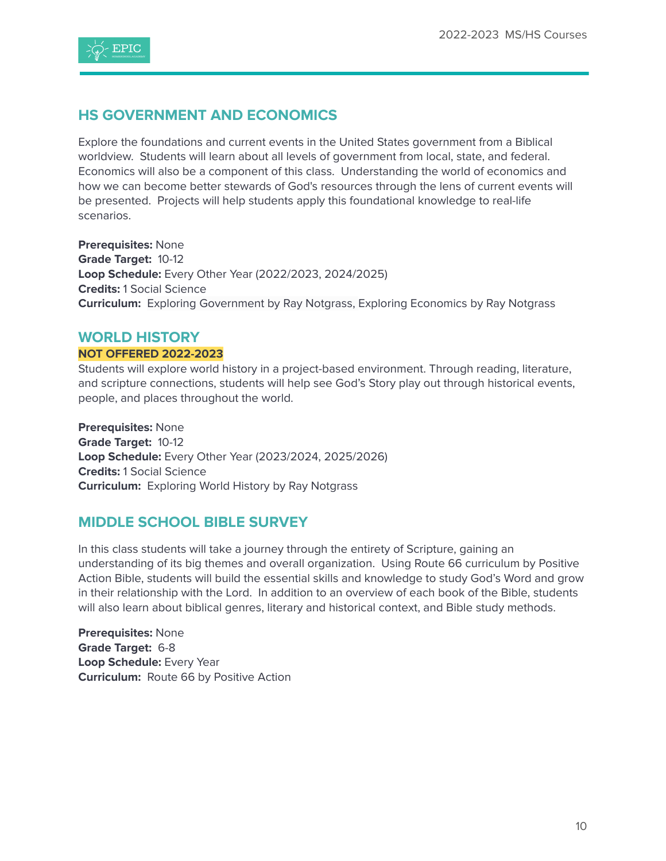

### **HS GOVERNMENT AND ECONOMICS**

Explore the foundations and current events in the United States government from a Biblical worldview. Students will learn about all levels of government from local, state, and federal. Economics will also be a component of this class. Understanding the world of economics and how we can become better stewards of God's resources through the lens of current events will be presented. Projects will help students apply this foundational knowledge to real-life scenarios.

**Prerequisites:** None **Grade Target:** 10-12 **Loop Schedule:** Every Other Year (2022/2023, 2024/2025) **Credits:** 1 Social Science **Curriculum:** Exploring Government by Ray Notgrass, Exploring Economics by Ray Notgrass

#### **WORLD HISTORY**

#### **NOT OFFERED 2022-2023**

Students will explore world history in a project-based environment. Through reading, literature, and scripture connections, students will help see God's Story play out through historical events, people, and places throughout the world.

**Prerequisites:** None **Grade Target:** 10-12 **Loop Schedule:** Every Other Year (2023/2024, 2025/2026) **Credits:** 1 Social Science **Curriculum:** Exploring World History by Ray Notgrass

#### **MIDDLE SCHOOL BIBLE SURVEY**

In this class students will take a journey through the entirety of Scripture, gaining an understanding of its big themes and overall organization. Using Route 66 curriculum by Positive Action Bible, students will build the essential skills and knowledge to study God's Word and grow in their relationship with the Lord. In addition to an overview of each book of the Bible, students will also learn about biblical genres, literary and historical context, and Bible study methods.

**Prerequisites:** None **Grade Target:** 6-8 **Loop Schedule:** Every Year **Curriculum:** Route 66 by Positive Action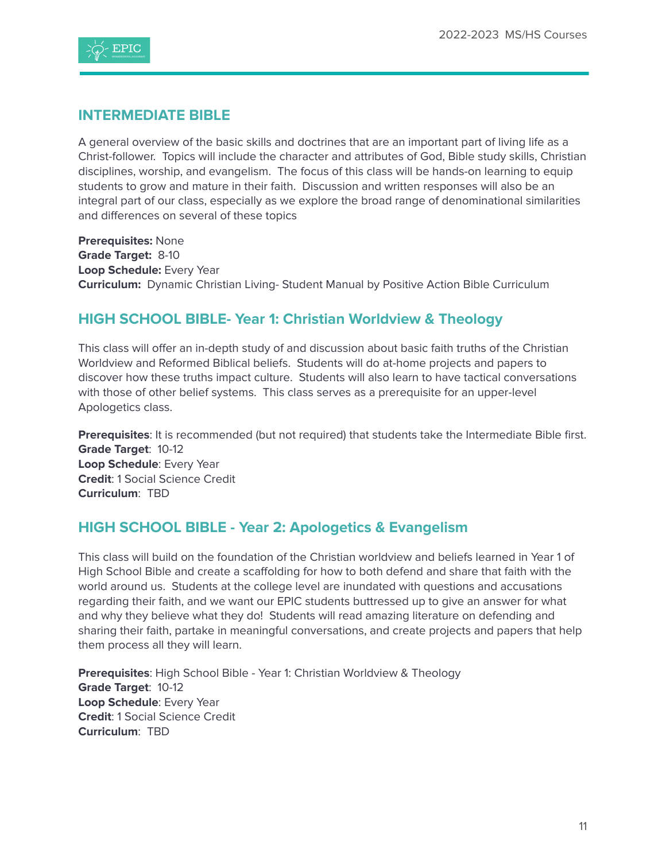

#### **INTERMEDIATE BIBLE**

A general overview of the basic skills and doctrines that are an important part of living life as a Christ-follower. Topics will include the character and attributes of God, Bible study skills, Christian disciplines, worship, and evangelism. The focus of this class will be hands-on learning to equip students to grow and mature in their faith. Discussion and written responses will also be an integral part of our class, especially as we explore the broad range of denominational similarities and differences on several of these topics

**Prerequisites:** None **Grade Target:** 8-10 **Loop Schedule:** Every Year **Curriculum:** Dynamic Christian Living- Student Manual by Positive Action Bible Curriculum

#### **HIGH SCHOOL BIBLE- Year 1: Christian Worldview & Theology**

This class will offer an in-depth study of and discussion about basic faith truths of the Christian Worldview and Reformed Biblical beliefs. Students will do at-home projects and papers to discover how these truths impact culture. Students will also learn to have tactical conversations with those of other belief systems. This class serves as a prerequisite for an upper-level Apologetics class.

**Prerequisites**: It is recommended (but not required) that students take the Intermediate Bible first. **Grade Target**: 10-12 **Loop Schedule**: Every Year **Credit**: 1 Social Science Credit **Curriculum**: TBD

#### **HIGH SCHOOL BIBLE - Year 2: Apologetics & Evangelism**

This class will build on the foundation of the Christian worldview and beliefs learned in Year 1 of High School Bible and create a scaffolding for how to both defend and share that faith with the world around us. Students at the college level are inundated with questions and accusations regarding their faith, and we want our EPIC students buttressed up to give an answer for what and why they believe what they do! Students will read amazing literature on defending and sharing their faith, partake in meaningful conversations, and create projects and papers that help them process all they will learn.

**Prerequisites**: High School Bible - Year 1: Christian Worldview & Theology **Grade Target**: 10-12 **Loop Schedule**: Every Year **Credit**: 1 Social Science Credit **Curriculum**: TBD